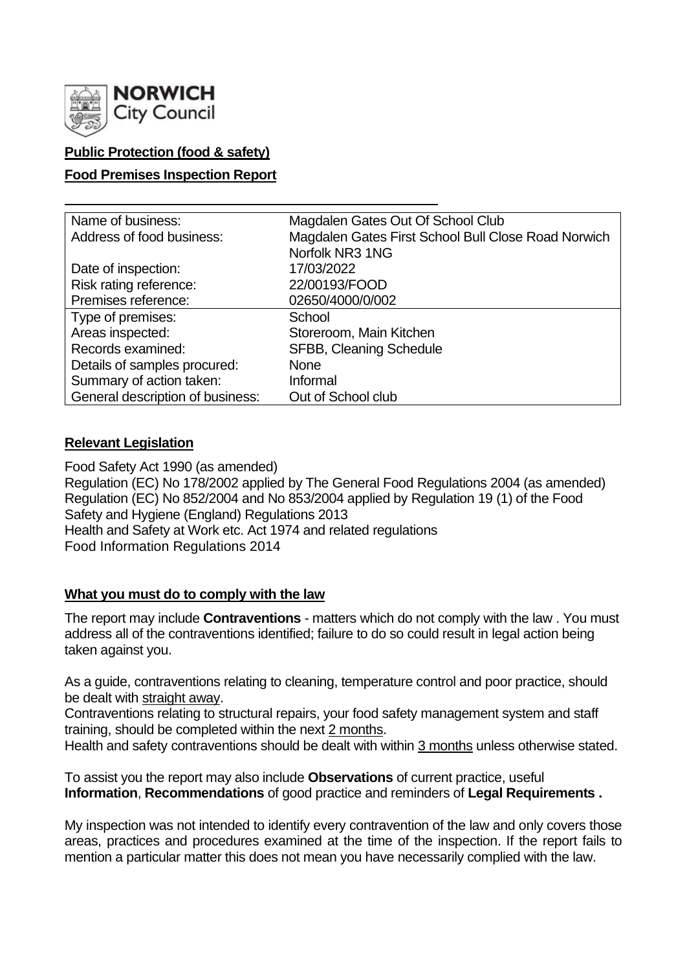

# **Public Protection (food & safety)**

### **Food Premises Inspection Report**

| Name of business:                | Magdalen Gates Out Of School Club                   |  |  |  |  |
|----------------------------------|-----------------------------------------------------|--|--|--|--|
| Address of food business:        | Magdalen Gates First School Bull Close Road Norwich |  |  |  |  |
|                                  | Norfolk NR3 1NG                                     |  |  |  |  |
| Date of inspection:              | 17/03/2022                                          |  |  |  |  |
| Risk rating reference:           | 22/00193/FOOD                                       |  |  |  |  |
| Premises reference:              | 02650/4000/0/002                                    |  |  |  |  |
| Type of premises:                | School                                              |  |  |  |  |
| Areas inspected:                 | Storeroom, Main Kitchen                             |  |  |  |  |
| Records examined:                | <b>SFBB, Cleaning Schedule</b>                      |  |  |  |  |
| Details of samples procured:     | <b>None</b>                                         |  |  |  |  |
| Summary of action taken:         | Informal                                            |  |  |  |  |
| General description of business: | Out of School club                                  |  |  |  |  |

#### **Relevant Legislation**

Food Safety Act 1990 (as amended) Regulation (EC) No 178/2002 applied by The General Food Regulations 2004 (as amended) Regulation (EC) No 852/2004 and No 853/2004 applied by Regulation 19 (1) of the Food Safety and Hygiene (England) Regulations 2013 Health and Safety at Work etc. Act 1974 and related regulations Food Information Regulations 2014

#### **What you must do to comply with the law**

The report may include **Contraventions** - matters which do not comply with the law . You must address all of the contraventions identified; failure to do so could result in legal action being taken against you.

As a guide, contraventions relating to cleaning, temperature control and poor practice, should be dealt with straight away.

Contraventions relating to structural repairs, your food safety management system and staff training, should be completed within the next 2 months.

Health and safety contraventions should be dealt with within 3 months unless otherwise stated.

To assist you the report may also include **Observations** of current practice, useful **Information**, **Recommendations** of good practice and reminders of **Legal Requirements .**

My inspection was not intended to identify every contravention of the law and only covers those areas, practices and procedures examined at the time of the inspection. If the report fails to mention a particular matter this does not mean you have necessarily complied with the law.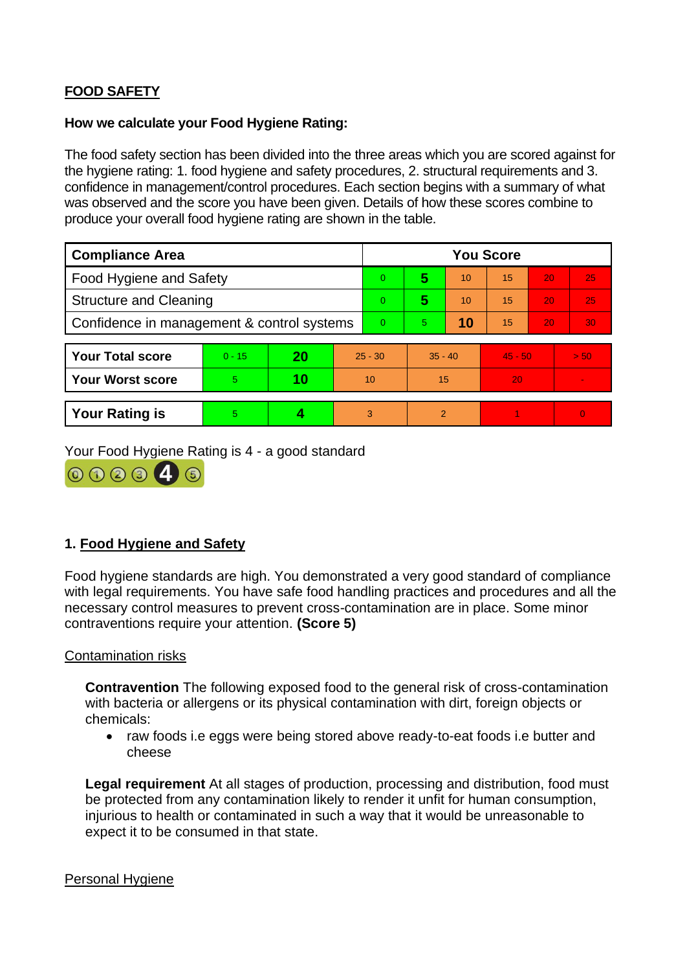# **FOOD SAFETY**

#### **How we calculate your Food Hygiene Rating:**

The food safety section has been divided into the three areas which you are scored against for the hygiene rating: 1. food hygiene and safety procedures, 2. structural requirements and 3. confidence in management/control procedures. Each section begins with a summary of what was observed and the score you have been given. Details of how these scores combine to produce your overall food hygiene rating are shown in the table.

| <b>Compliance Area</b>                     |          |    |           | <b>You Score</b> |                |    |           |    |                |  |
|--------------------------------------------|----------|----|-----------|------------------|----------------|----|-----------|----|----------------|--|
| <b>Food Hygiene and Safety</b>             |          |    |           | $\Omega$         | 5              | 10 | 15        | 20 | 25             |  |
| <b>Structure and Cleaning</b>              |          |    |           | $\Omega$         | 5              | 10 | 15        | 20 | 25             |  |
| Confidence in management & control systems |          |    | $\Omega$  | 5.               | 10             | 15 | 20        | 30 |                |  |
|                                            |          |    |           |                  |                |    |           |    |                |  |
| <b>Your Total score</b>                    | $0 - 15$ | 20 | $25 - 30$ |                  | $35 - 40$      |    | $45 - 50$ |    | > 50           |  |
| <b>Your Worst score</b>                    | 5        | 10 | 10        |                  | 15             |    | 20        |    | $\blacksquare$ |  |
|                                            |          |    |           |                  |                |    |           |    |                |  |
| <b>Your Rating is</b>                      | 5        |    |           | 3                | $\overline{2}$ |    |           |    | $\overline{0}$ |  |

Your Food Hygiene Rating is 4 - a good standard



# **1. Food Hygiene and Safety**

Food hygiene standards are high. You demonstrated a very good standard of compliance with legal requirements. You have safe food handling practices and procedures and all the necessary control measures to prevent cross-contamination are in place. Some minor contraventions require your attention. **(Score 5)**

#### Contamination risks

**Contravention** The following exposed food to the general risk of cross-contamination with bacteria or allergens or its physical contamination with dirt, foreign objects or chemicals:

• raw foods i.e eggs were being stored above ready-to-eat foods i.e butter and cheese

**Legal requirement** At all stages of production, processing and distribution, food must be protected from any contamination likely to render it unfit for human consumption, injurious to health or contaminated in such a way that it would be unreasonable to expect it to be consumed in that state.

#### Personal Hygiene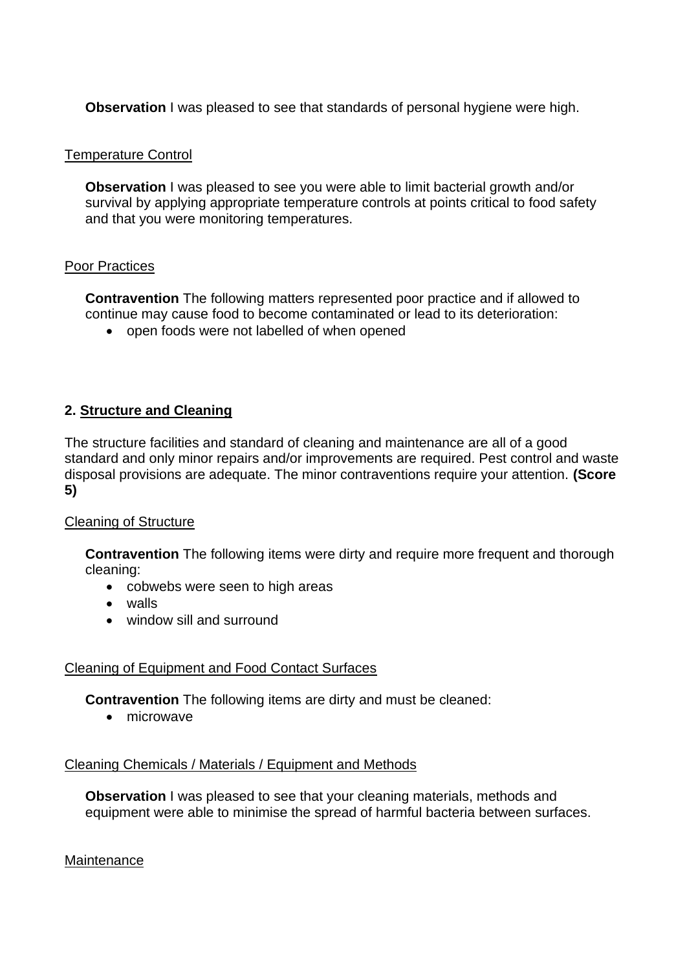**Observation** I was pleased to see that standards of personal hygiene were high.

#### Temperature Control

**Observation** I was pleased to see you were able to limit bacterial growth and/or survival by applying appropriate temperature controls at points critical to food safety and that you were monitoring temperatures.

#### Poor Practices

**Contravention** The following matters represented poor practice and if allowed to continue may cause food to become contaminated or lead to its deterioration:

• open foods were not labelled of when opened

### **2. Structure and Cleaning**

The structure facilities and standard of cleaning and maintenance are all of a good standard and only minor repairs and/or improvements are required. Pest control and waste disposal provisions are adequate. The minor contraventions require your attention. **(Score 5)**

#### Cleaning of Structure

**Contravention** The following items were dirty and require more frequent and thorough cleaning:

- cobwebs were seen to high areas
- walls
- window sill and surround

#### Cleaning of Equipment and Food Contact Surfaces

**Contravention** The following items are dirty and must be cleaned:

• microwave

#### Cleaning Chemicals / Materials / Equipment and Methods

**Observation** I was pleased to see that your cleaning materials, methods and equipment were able to minimise the spread of harmful bacteria between surfaces.

**Maintenance**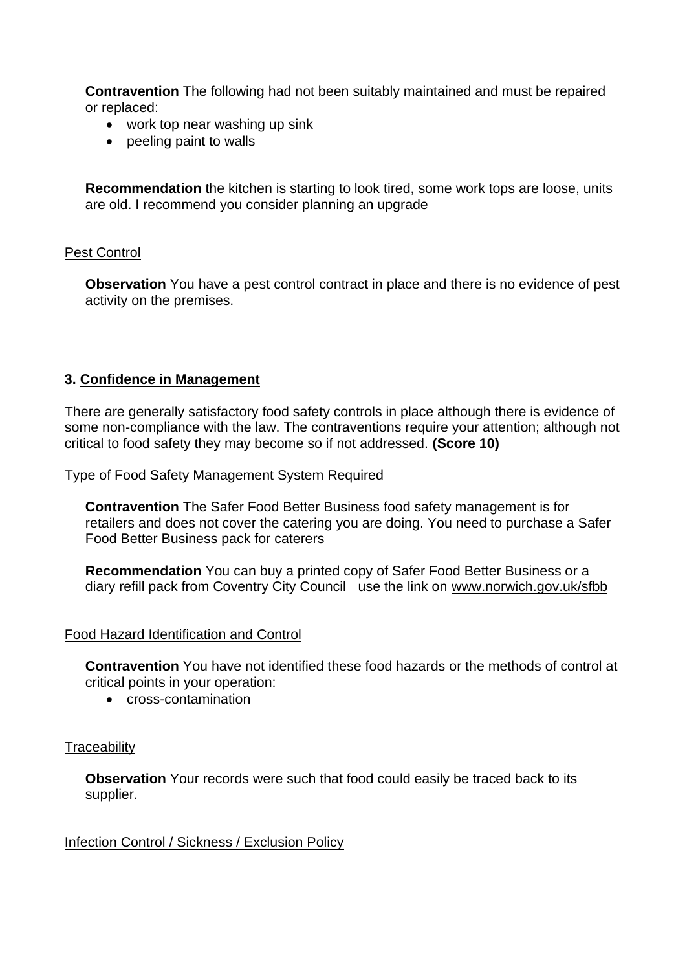**Contravention** The following had not been suitably maintained and must be repaired or replaced:

- work top near washing up sink
- peeling paint to walls

**Recommendation** the kitchen is starting to look tired, some work tops are loose, units are old. I recommend you consider planning an upgrade

### Pest Control

**Observation** You have a pest control contract in place and there is no evidence of pest activity on the premises.

### **3. Confidence in Management**

There are generally satisfactory food safety controls in place although there is evidence of some non-compliance with the law. The contraventions require your attention; although not critical to food safety they may become so if not addressed. **(Score 10)**

#### Type of Food Safety Management System Required

**Contravention** The Safer Food Better Business food safety management is for retailers and does not cover the catering you are doing. You need to purchase a Safer Food Better Business pack for caterers

**Recommendation** You can buy a printed copy of Safer Food Better Business or a diary refill pack from Coventry City Council use the link on [www.norwich.gov.uk/sfbb](http://www.norwich.gov.uk/sfbb) 

#### Food Hazard Identification and Control

**Contravention** You have not identified these food hazards or the methods of control at critical points in your operation:

• cross-contamination

#### **Traceability**

**Observation** Your records were such that food could easily be traced back to its supplier.

#### Infection Control / Sickness / Exclusion Policy